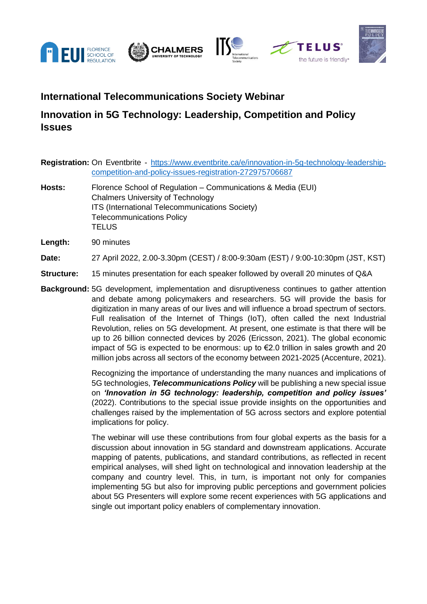





## **International Telecommunications Society Webinar**

## **Innovation in 5G Technology: Leadership, Competition and Policy Issues**

|        | <b>Registration:</b> On Eventbrite - https://www.eventbrite.ca/e/innovation-in-5g-technology-leadership-                                                                                                       |
|--------|----------------------------------------------------------------------------------------------------------------------------------------------------------------------------------------------------------------|
|        | competition-and-policy-issues-registration-272975706687                                                                                                                                                        |
| Hosts: | Florence School of Regulation – Communications & Media (EUI)<br><b>Chalmers University of Technology</b><br>ITS (International Telecommunications Society)<br><b>Telecommunications Policy</b><br><b>TELUS</b> |

**Length:** 90 minutes

**Date:** 27 April 2022, 2.00-3.30pm (CEST) / 8:00-9:30am (EST) / 9:00-10:30pm (JST, KST)

**Structure:** 15 minutes presentation for each speaker followed by overall 20 minutes of Q&A

**Background:** 5G development, implementation and disruptiveness continues to gather attention and debate among policymakers and researchers. 5G will provide the basis for digitization in many areas of our lives and will influence a broad spectrum of sectors. Full realisation of the Internet of Things (IoT), often called the next Industrial Revolution, relies on 5G development. At present, one estimate is that there will be up to 26 billion connected devices by 2026 (Ericsson, 2021). The global economic impact of 5G is expected to be enormous: up to  $E$ 2.0 trillion in sales growth and 20 million jobs across all sectors of the economy between 2021-2025 (Accenture, 2021).

> Recognizing the importance of understanding the many nuances and implications of 5G technologies, *Telecommunications Policy* will be publishing a new special issue on *'Innovation in 5G technology: leadership, competition and policy issues'* (2022). Contributions to the special issue provide insights on the opportunities and challenges raised by the implementation of 5G across sectors and explore potential implications for policy.

> The webinar will use these contributions from four global experts as the basis for a discussion about innovation in 5G standard and downstream applications. Accurate mapping of patents, publications, and standard contributions, as reflected in recent empirical analyses, will shed light on technological and innovation leadership at the company and country level. This, in turn, is important not only for companies implementing 5G but also for improving public perceptions and government policies about 5G Presenters will explore some recent experiences with 5G applications and single out important policy enablers of complementary innovation.